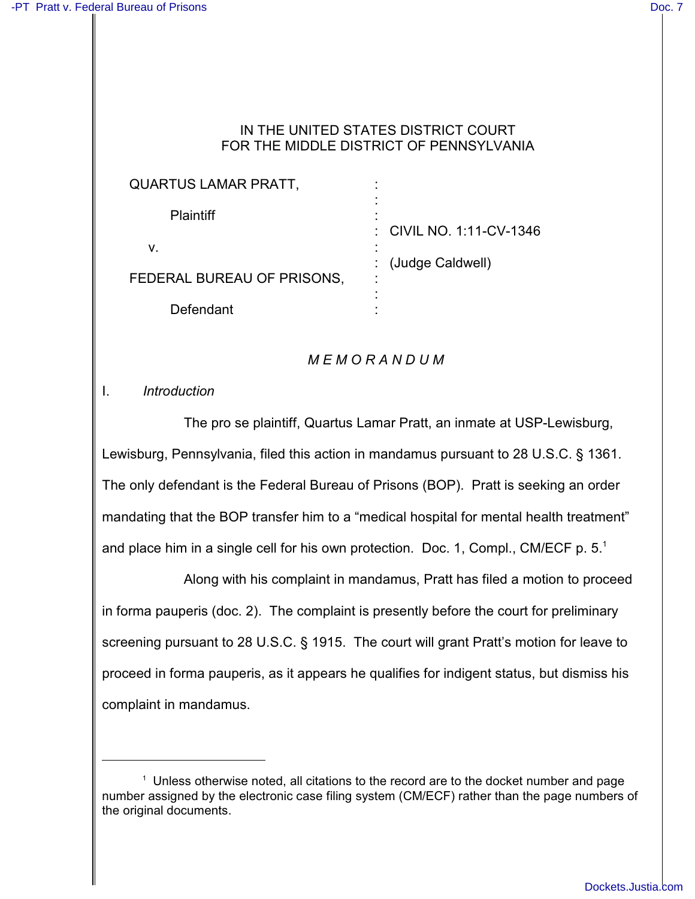### IN THE UNITED STATES DISTRICT COURT FOR THE MIDDLE DISTRICT OF PENNSYLVANIA

| <b>QUARTUS LAMAR PRATT,</b> |                          |
|-----------------------------|--------------------------|
| <b>Plaintiff</b>            |                          |
|                             | : CIVIL NO. 1:11-CV-1346 |
| v.                          | (Judge Caldwell)         |
| FEDERAL BUREAU OF PRISONS,  | ٠                        |
|                             |                          |
| Defendant                   |                          |

# *M E M O R A N D U M*

I. *Introduction*

The pro se plaintiff, Quartus Lamar Pratt, an inmate at USP-Lewisburg, Lewisburg, Pennsylvania, filed this action in mandamus pursuant to 28 U.S.C. § 1361. The only defendant is the Federal Bureau of Prisons (BOP). Pratt is seeking an order mandating that the BOP transfer him to a "medical hospital for mental health treatment" and place him in a single cell for his own protection. Doc. 1, Compl., CM/ECF p.  $5<sup>1</sup>$ 

Along with his complaint in mandamus, Pratt has filed a motion to proceed in forma pauperis (doc. 2). The complaint is presently before the court for preliminary screening pursuant to 28 U.S.C. § 1915. The court will grant Pratt's motion for leave to proceed in forma pauperis, as it appears he qualifies for indigent status, but dismiss his complaint in mandamus.

<sup>&</sup>lt;sup>1</sup> Unless otherwise noted, all citations to the record are to the docket number and page number assigned by the electronic case filing system (CM/ECF) rather than the page numbers of the original documents.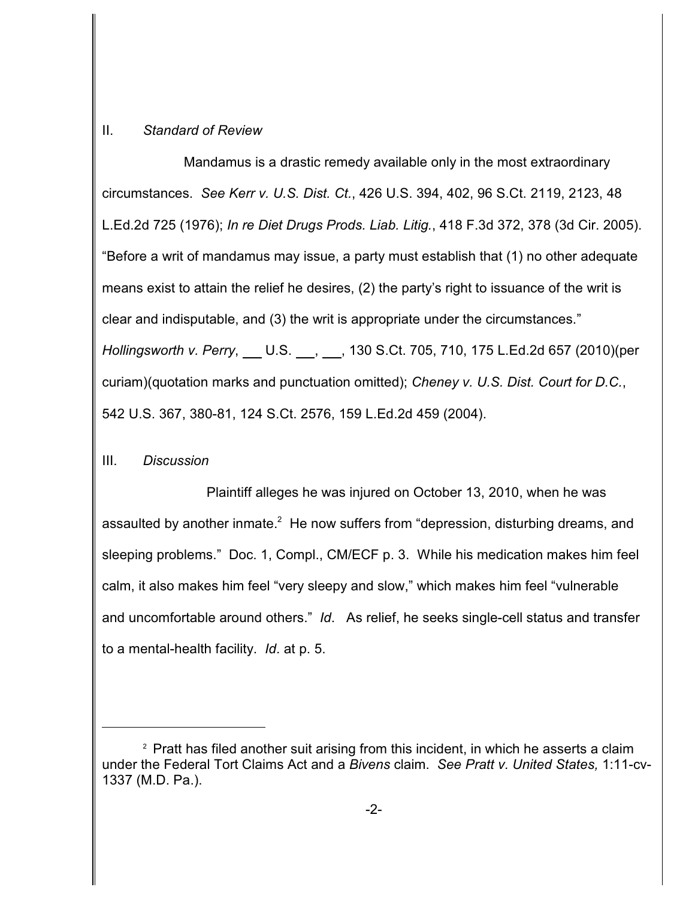### II. *Standard of Review*

Mandamus is a drastic remedy available only in the most extraordinary circumstances. *See Kerr v. U.S. Dist. Ct.*, 426 U.S. 394, 402, 96 S.Ct. 2119, 2123, 48 L.Ed.2d 725 (1976); *In re Diet Drugs Prods. Liab. Litig.*, 418 F.3d 372, 378 (3d Cir. 2005). "Before a writ of mandamus may issue, a party must establish that (1) no other adequate means exist to attain the relief he desires, (2) the party's right to issuance of the writ is clear and indisputable, and (3) the writ is appropriate under the circumstances." *Hollingsworth v. Perry*, U.S. <sub>(1, 2</sub>, 2, 130 S.Ct. 705, 710, 175 L.Ed.2d 657 (2010)(per curiam)(quotation marks and punctuation omitted); *Cheney v. U.S. Dist. Court for D.C.*, 542 U.S. 367, 380-81, 124 S.Ct. 2576, 159 L.Ed.2d 459 (2004).

## III. *Discussion*

 Plaintiff alleges he was injured on October 13, 2010, when he was assaulted by another inmate. $^2$  He now suffers from "depression, disturbing dreams, and sleeping problems." Doc. 1, Compl., CM/ECF p. 3. While his medication makes him feel calm, it also makes him feel "very sleepy and slow," which makes him feel "vulnerable and uncomfortable around others." *Id*. As relief, he seeks single-cell status and transfer to a mental-health facility. *Id*. at p. 5.

<sup>&</sup>lt;sup>2</sup> Pratt has filed another suit arising from this incident, in which he asserts a claim under the Federal Tort Claims Act and a *Bivens* claim. *See Pratt v. United States,* 1:11-cv-1337 (M.D. Pa.).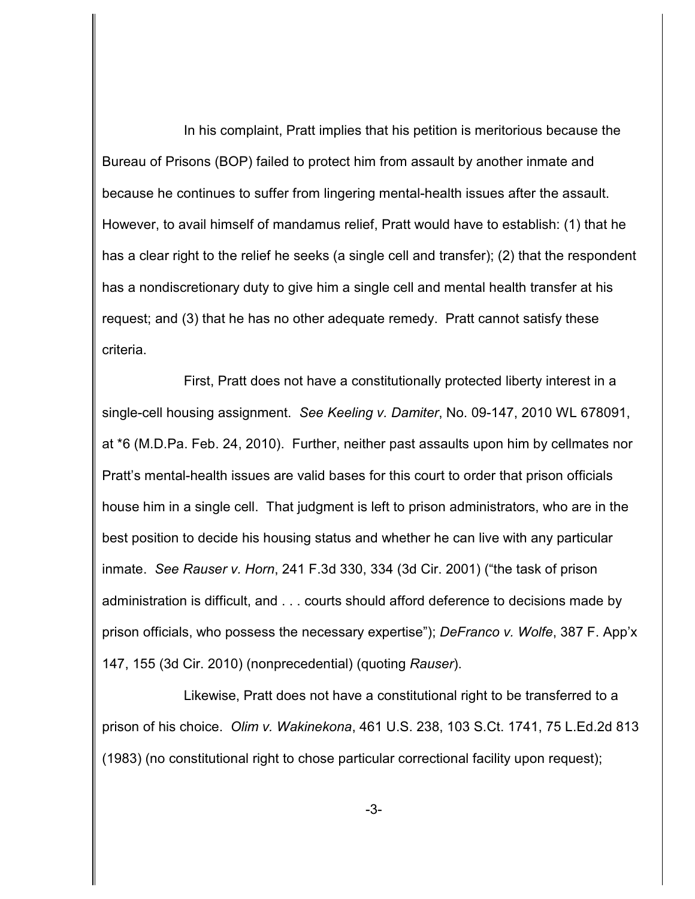In his complaint, Pratt implies that his petition is meritorious because the Bureau of Prisons (BOP) failed to protect him from assault by another inmate and because he continues to suffer from lingering mental-health issues after the assault. However, to avail himself of mandamus relief, Pratt would have to establish: (1) that he has a clear right to the relief he seeks (a single cell and transfer); (2) that the respondent has a nondiscretionary duty to give him a single cell and mental health transfer at his request; and (3) that he has no other adequate remedy. Pratt cannot satisfy these criteria.

First, Pratt does not have a constitutionally protected liberty interest in a single-cell housing assignment. *See Keeling v. Damiter*, No. 09-147, 2010 WL 678091, at \*6 (M.D.Pa. Feb. 24, 2010). Further, neither past assaults upon him by cellmates nor Pratt's mental-health issues are valid bases for this court to order that prison officials house him in a single cell. That judgment is left to prison administrators, who are in the best position to decide his housing status and whether he can live with any particular inmate. *See Rauser v. Horn*, 241 F.3d 330, 334 (3d Cir. 2001) ("the task of prison administration is difficult, and . . . courts should afford deference to decisions made by prison officials, who possess the necessary expertise"); *DeFranco v. Wolfe*, 387 F. App'x 147, 155 (3d Cir. 2010) (nonprecedential) (quoting *Rauser*).

Likewise, Pratt does not have a constitutional right to be transferred to a prison of his choice. *Olim v. Wakinekona*, 461 U.S. 238, 103 S.Ct. 1741, 75 L.Ed.2d 813 (1983) (no constitutional right to chose particular correctional facility upon request);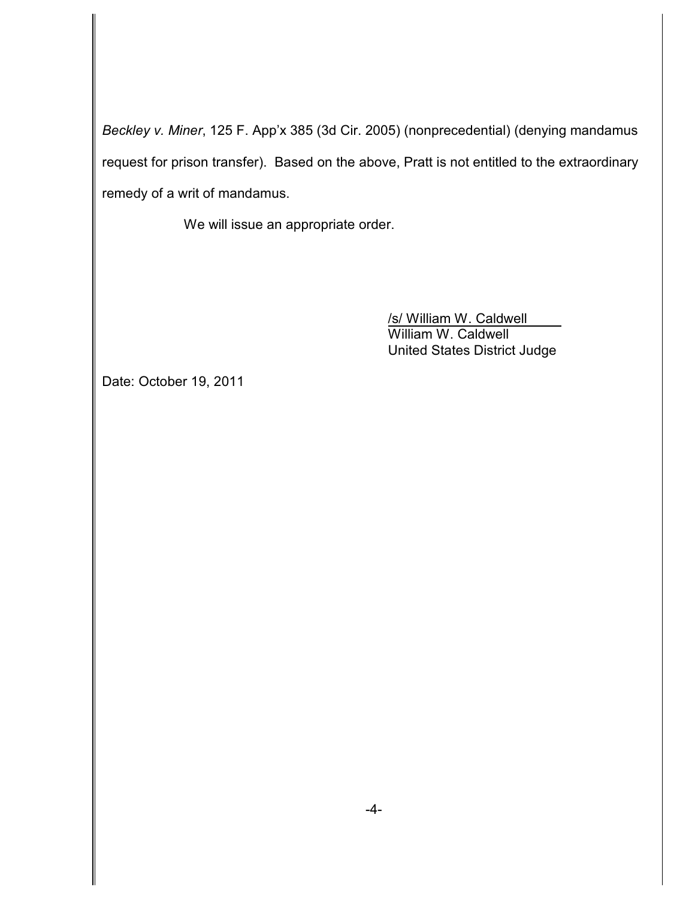*Beckley v. Miner*, 125 F. App'x 385 (3d Cir. 2005) (nonprecedential) (denying mandamus request for prison transfer). Based on the above, Pratt is not entitled to the extraordinary remedy of a writ of mandamus.

We will issue an appropriate order.

/s/ William W. Caldwell William W. Caldwell United States District Judge

Date: October 19, 2011